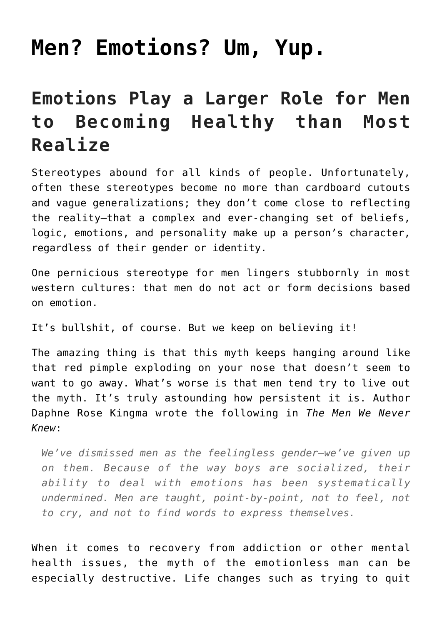# **[Men? Emotions? Um, Yup.](https://danielbrooksmoore.com/nowsthetime/2018/11/07/men-emotions-um-yup/)**

# **Emotions Play a Larger Role for Men to Becoming Healthy than Most Realize**

Stereotypes abound for all kinds of people. Unfortunately, often these stereotypes become no more than cardboard cutouts and vague generalizations; they don't come close to reflecting the reality—that a complex and ever-changing set of beliefs, logic, emotions, and personality make up a person's character, regardless of their gender or identity.

One pernicious stereotype for men lingers stubbornly in most western cultures: that men do not act or form decisions based on emotion.

It's bullshit, of course. But we keep on believing it!

The amazing thing is that this myth keeps hanging around like that red pimple exploding on your nose that doesn't seem to want to go away. What's worse is that men tend try to live out the myth. It's truly astounding how persistent it is. Author Daphne Rose Kingma wrote the following in *The Men We Never Knew*:

*We've dismissed men as the feelingless gender—we've given up on them. Because of the way boys are socialized, their ability to deal with emotions has been systematically undermined. Men are taught, point-by-point, not to feel, not to cry, and not to find words to express themselves.*

When it comes to recovery from addiction or other mental health issues, the myth of the emotionless man can be especially destructive. Life changes such as [trying to quit](https://www.workithealth.com/opiate-treatment-ann-arbor/)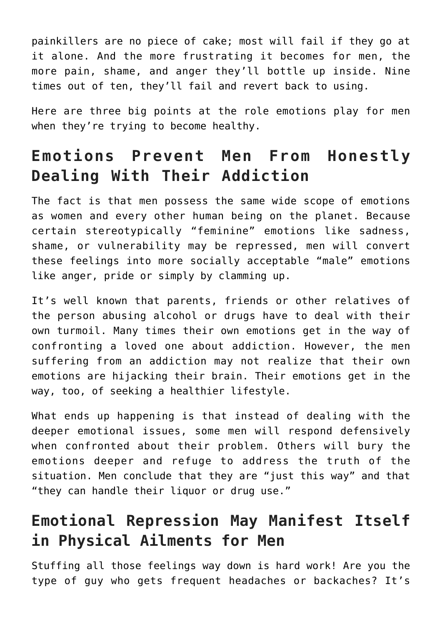[painkillers](https://www.workithealth.com/opiate-treatment-ann-arbor/) are no piece of cake; most will fail if they go at it alone. And the more frustrating it becomes for men, the more pain, shame, and anger they'll bottle up inside. Nine times out of ten, they'll fail and revert back to using.

Here are three big points at the role emotions play for men when they're trying to become healthy.

## **Emotions Prevent Men From Honestly Dealing With Their Addiction**

The fact is that men possess the same wide scope of emotions as women and every other human being on the planet. Because certain stereotypically "feminine" emotions like sadness, shame, or vulnerability may be repressed, men will convert these feelings into more socially acceptable "male" emotions like anger, pride or simply by clamming up.

It's well known that parents, friends or other relatives of the person abusing alcohol or drugs have to deal with their own turmoil. Many times their own [emotions get in the way of](https://www.workithealth.com/blog/7-emotions-that-keep-us-from-confronting-loved-ones-about-addiction) [confronting a loved one about addiction](https://www.workithealth.com/blog/7-emotions-that-keep-us-from-confronting-loved-ones-about-addiction). However, the men suffering from an addiction may not realize that their own emotions are hijacking their brain. Their emotions get in the way, too, of seeking a healthier lifestyle.

What ends up happening is that instead of dealing with the deeper emotional issues, some men will respond defensively when confronted about their problem. Others will bury the emotions deeper and refuge to address the truth of the situation. Men conclude that they are "just this way" and that "they can handle their liquor or drug use."

## **Emotional Repression May Manifest Itself in Physical Ailments for Men**

Stuffing all those feelings way down is hard work! Are you the type of guy who gets frequent headaches or backaches? It's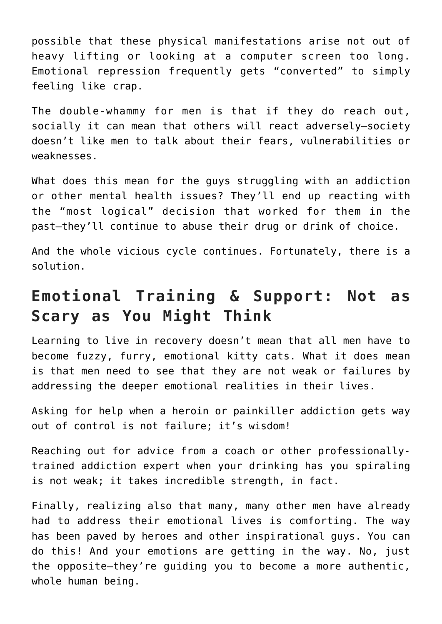possible that these physical manifestations arise not out of heavy lifting or looking at a computer screen too long. Emotional repression frequently gets "converted" to simply feeling like crap.

The double-whammy for men is that if they do reach out, socially it can mean that others will react adversely—society doesn't like men to talk about their fears, vulnerabilities or weaknesses.

What does this mean for the guys struggling with an addiction or other mental health issues? They'll end up reacting with the "most logical" decision that worked for them in the past—they'll continue to abuse their drug or drink of choice.

And the whole vicious cycle continues. Fortunately, [there is a](https://www.workithealth.com/workit-coach/) [solution.](https://www.workithealth.com/workit-coach/)

### **Emotional Training & Support: Not as Scary as You Might Think**

Learning to live in recovery doesn't mean that all men have to become fuzzy, furry, emotional kitty cats. What it does mean is that men need to see that they are not weak or failures by addressing the deeper emotional realities in their lives.

Asking for help when a heroin or painkiller addiction gets way out of control is not failure; it's wisdom!

Reaching out for advice from a [coach or other professionally](https://www.workithealth.com/workit-coach/)[trained addiction expert](https://www.workithealth.com/workit-coach/) when your drinking has you spiraling is not weak; it takes incredible strength, in fact.

Finally, realizing also that many, many other men have already had to address their emotional lives is comforting. The way has been paved by [heroes and other inspirational guys.](https://www.workithealth.com/blog/addiction-recovery-interview-one-rep-marv) You can do this! And your emotions are getting in the way. No, just the opposite—they're guiding you to become a more authentic, whole human being.